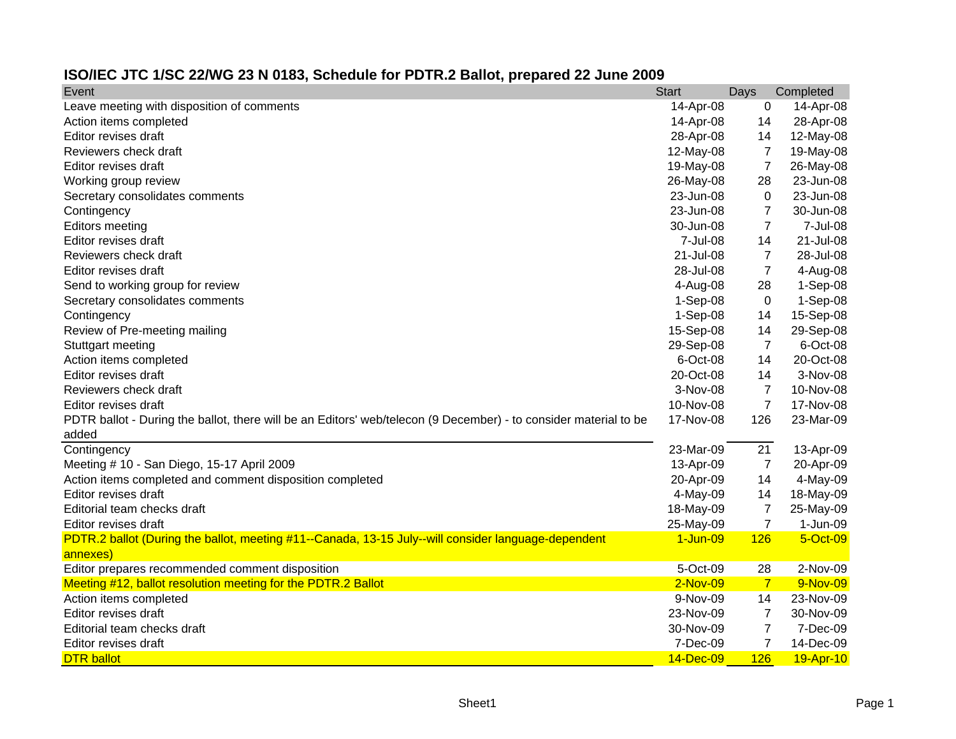## **ISO/IEC JTC 1/SC 22/WG 23 N 0183, Schedule for PDTR.2 Ballot, prepared 22 June 2009**

| Event                                                                                                            | <b>Start</b> | Days           | Completed  |
|------------------------------------------------------------------------------------------------------------------|--------------|----------------|------------|
| Leave meeting with disposition of comments                                                                       | 14-Apr-08    | 0              | 14-Apr-08  |
| Action items completed                                                                                           | 14-Apr-08    | 14             | 28-Apr-08  |
| Editor revises draft                                                                                             | 28-Apr-08    | 14             | 12-May-08  |
| Reviewers check draft                                                                                            | 12-May-08    | 7              | 19-May-08  |
| Editor revises draft                                                                                             | 19-May-08    | $\overline{7}$ | 26-May-08  |
| Working group review                                                                                             | 26-May-08    | 28             | 23-Jun-08  |
| Secretary consolidates comments                                                                                  | 23-Jun-08    | 0              | 23-Jun-08  |
| Contingency                                                                                                      | 23-Jun-08    | $\overline{7}$ | 30-Jun-08  |
| <b>Editors meeting</b>                                                                                           | 30-Jun-08    | $\overline{7}$ | 7-Jul-08   |
| Editor revises draft                                                                                             | 7-Jul-08     | 14             | 21-Jul-08  |
| Reviewers check draft                                                                                            | 21-Jul-08    | 7              | 28-Jul-08  |
| Editor revises draft                                                                                             | 28-Jul-08    | $\overline{7}$ | 4-Aug-08   |
| Send to working group for review                                                                                 | 4-Aug-08     | 28             | $1-Sep-08$ |
| Secretary consolidates comments                                                                                  | 1-Sep-08     | 0              | 1-Sep-08   |
| Contingency                                                                                                      | 1-Sep-08     | 14             | 15-Sep-08  |
| Review of Pre-meeting mailing                                                                                    | 15-Sep-08    | 14             | 29-Sep-08  |
| Stuttgart meeting                                                                                                | 29-Sep-08    | $\overline{7}$ | 6-Oct-08   |
| Action items completed                                                                                           | 6-Oct-08     | 14             | 20-Oct-08  |
| Editor revises draft                                                                                             | 20-Oct-08    | 14             | 3-Nov-08   |
| Reviewers check draft                                                                                            | 3-Nov-08     | $\overline{7}$ | 10-Nov-08  |
| Editor revises draft                                                                                             | 10-Nov-08    | $\overline{7}$ | 17-Nov-08  |
| PDTR ballot - During the ballot, there will be an Editors' web/telecon (9 December) - to consider material to be | 17-Nov-08    | 126            | 23-Mar-09  |
| added                                                                                                            |              |                |            |
| Contingency                                                                                                      | 23-Mar-09    | 21             | 13-Apr-09  |
| Meeting # 10 - San Diego, 15-17 April 2009                                                                       | 13-Apr-09    | $\overline{7}$ | 20-Apr-09  |
| Action items completed and comment disposition completed                                                         | 20-Apr-09    | 14             | 4-May-09   |
| Editor revises draft                                                                                             | 4-May-09     | 14             | 18-May-09  |
| Editorial team checks draft                                                                                      | 18-May-09    | $\overline{7}$ | 25-May-09  |
| Editor revises draft                                                                                             | 25-May-09    | $\overline{7}$ | 1-Jun-09   |
| PDTR.2 ballot (During the ballot, meeting #11--Canada, 13-15 July--will consider language-dependent              | 1-Jun-09     | 126            | 5-Oct-09   |
| annexes)                                                                                                         |              |                |            |
| Editor prepares recommended comment disposition                                                                  | 5-Oct-09     | 28             | 2-Nov-09   |
| Meeting #12, ballot resolution meeting for the PDTR.2 Ballot                                                     | $2-Nov-09$   | 7              | 9-Nov-09   |
| Action items completed                                                                                           | 9-Nov-09     | 14             | 23-Nov-09  |
| Editor revises draft                                                                                             | 23-Nov-09    | $\overline{7}$ | 30-Nov-09  |
| Editorial team checks draft                                                                                      | 30-Nov-09    | $\overline{7}$ | 7-Dec-09   |
| Editor revises draft                                                                                             | 7-Dec-09     | $\overline{7}$ | 14-Dec-09  |
| <b>DTR</b> ballot                                                                                                | 14-Dec-09    | 126            | 19-Apr-10  |